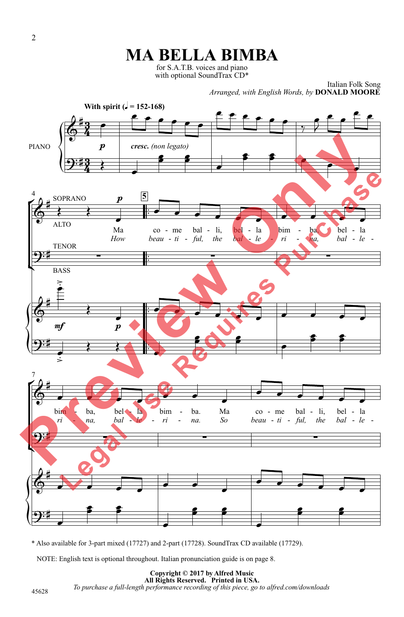**MA BELLA BIMBA**

for S.A.T.B. voices and piano with optional SoundTrax CD\*

Italian Folk Song *Arranged, with English Words, by* **DONALD MOORE**



<sup>\*</sup> Also available for 3-part mixed (17727) and 2-part (17728). SoundTrax CD available (17729).

NOTE: English text is optional throughout. Italian pronunciation guide is on page 8.

45628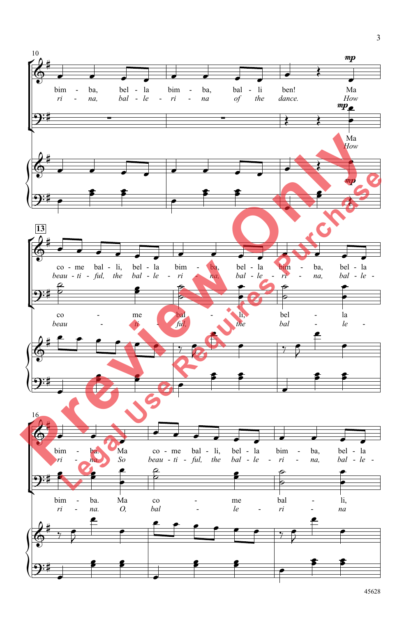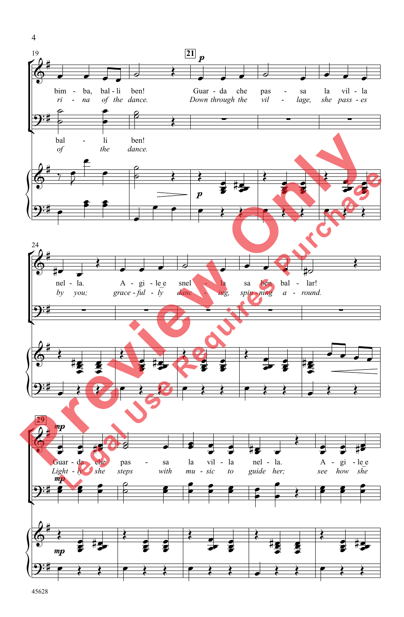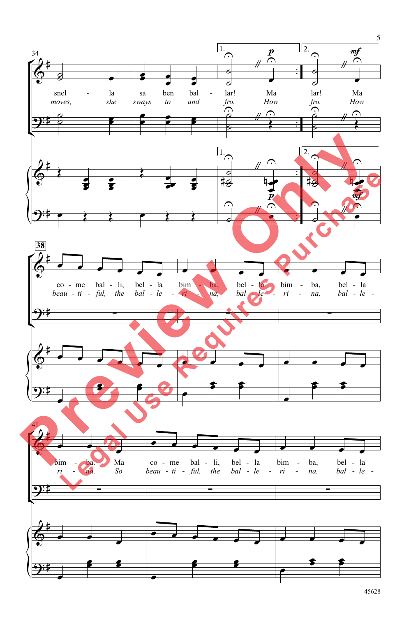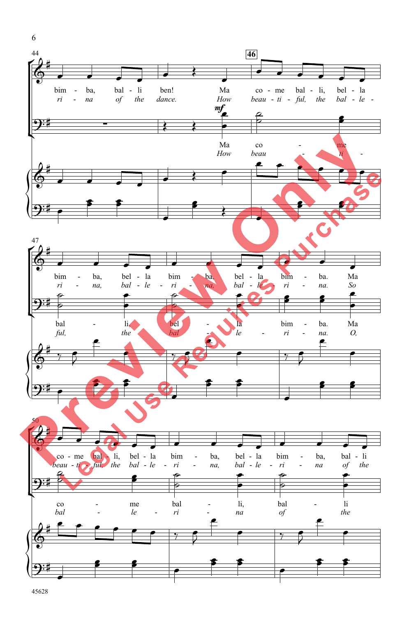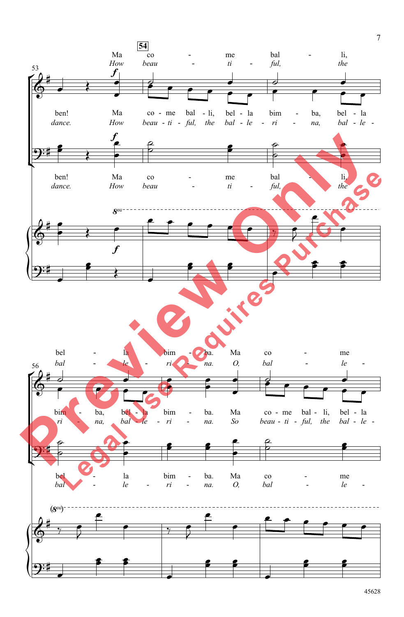